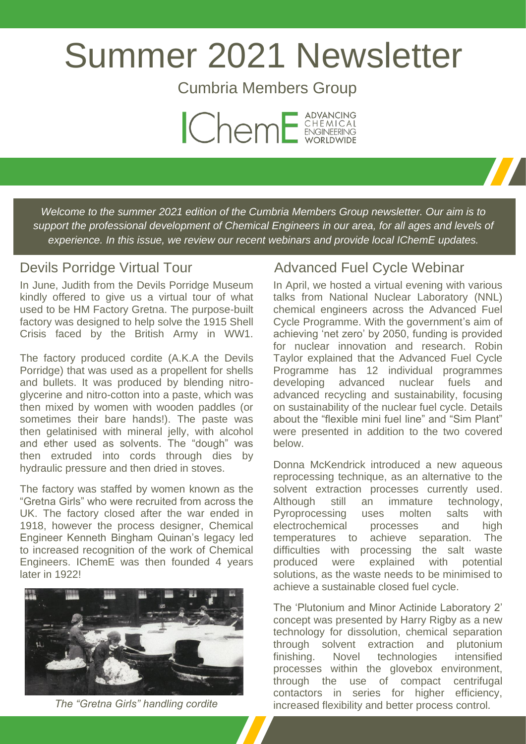# Summer 2021 Newsletter

Cumbria Members Group



*Welcome to the summer 2021 edition of the Cumbria Members Group newsletter. Our aim is to support the professional development of Chemical Engineers in our area, for all ages and levels of experience. In this issue, we review our recent webinars and provide local IChemE updates.*

### Devils Porridge Virtual Tour

In June, Judith from the Devils Porridge Museum kindly offered to give us a virtual tour of what used to be HM Factory Gretna. The purpose-built factory was designed to help solve the 1915 Shell Crisis faced by the British Army in WW1.

The factory produced cordite (A.K.A the Devils Porridge) that was used as a propellent for shells and bullets. It was produced by blending nitroglycerine and nitro-cotton into a paste, which was then mixed by women with wooden paddles (or sometimes their bare hands!). The paste was then gelatinised with mineral jelly, with alcohol and ether used as solvents. The "dough" was then extruded into cords through dies by hydraulic pressure and then dried in stoves.

The factory was staffed by women known as the "Gretna Girls" who were recruited from across the UK. The factory closed after the war ended in 1918, however the process designer, Chemical Engineer Kenneth Bingham Quinan's legacy led to increased recognition of the work of Chemical Engineers. IChemE was then founded 4 years later in 1922!



*The "Gretna Girls" handling cordite*

## Advanced Fuel Cycle Webinar

In April, we hosted a virtual evening with various talks from National Nuclear Laboratory (NNL) chemical engineers across the Advanced Fuel Cycle Programme. With the government's aim of achieving 'net zero' by 2050, funding is provided for nuclear innovation and research. Robin Taylor explained that the Advanced Fuel Cycle Programme has 12 individual programmes developing advanced nuclear fuels and advanced recycling and sustainability, focusing on sustainability of the nuclear fuel cycle. Details about the "flexible mini fuel line" and "Sim Plant" were presented in addition to the two covered below.

Donna McKendrick introduced a new aqueous reprocessing technique, as an alternative to the solvent extraction processes currently used. Although still an immature technology, Pyroprocessing uses molten salts with electrochemical processes and high temperatures to achieve separation. The difficulties with processing the salt waste produced were explained with potential solutions, as the waste needs to be minimised to achieve a sustainable closed fuel cycle.

The 'Plutonium and Minor Actinide Laboratory 2' concept was presented by Harry Rigby as a new technology for dissolution, chemical separation through solvent extraction and plutonium finishing. Novel technologies intensified processes within the glovebox environment, through the use of compact centrifugal contactors in series for higher efficiency, increased flexibility and better process control.